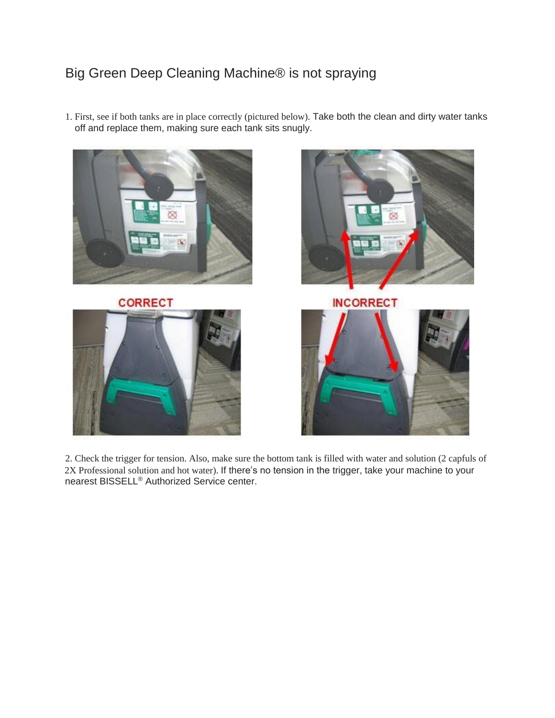## Big Green Deep Cleaning Machine® is not spraying

1. First, see if both tanks are in place correctly (pictured below). Take both the clean and dirty water tanks off and replace them, making sure each tank sits snugly.









**INCORRECT** 



2. Check the trigger for tension. Also, make sure the bottom tank is filled with water and solution (2 capfuls of 2X Professional solution and hot water). If there's no tension in the trigger, take your machine to your nearest BISSELL<sup>®</sup> Authorized Service center.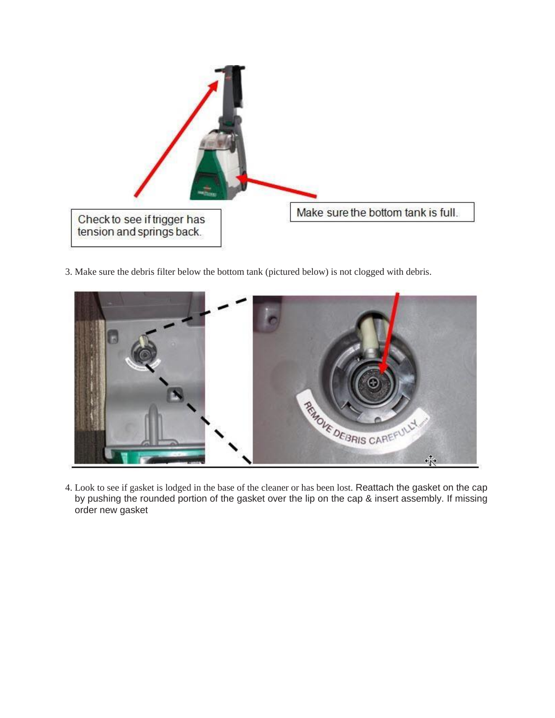

3. Make sure the debris filter below the bottom tank (pictured below) is not clogged with debris.



4. Look to see if gasket is lodged in the base of the cleaner or has been lost. Reattach the gasket on the cap by pushing the rounded portion of the gasket over the lip on the cap & insert assembly. If missing order new gasket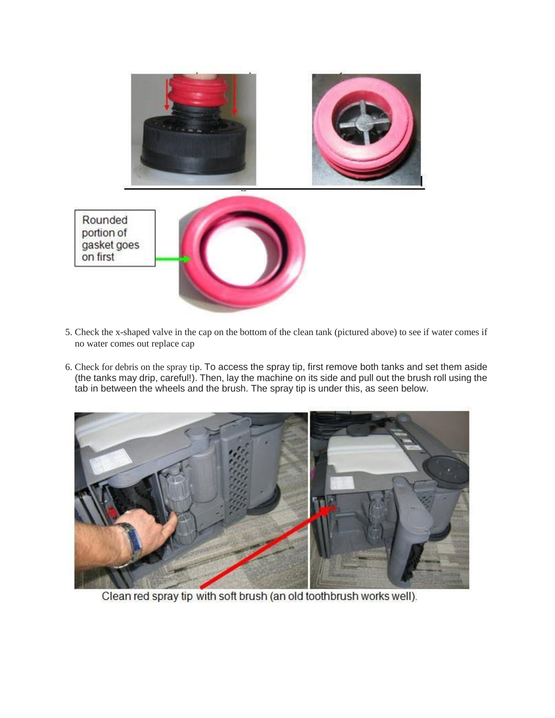

- 5. Check the x-shaped valve in the cap on the bottom of the clean tank (pictured above) to see if water comes if no water comes out replace cap
- 6. Check for debris on the spray tip. To access the spray tip, first remove both tanks and set them aside (the tanks may drip, careful!). Then, lay the machine on its side and pull out the brush roll using the tab in between the wheels and the brush. The spray tip is under this, as seen below.



Clean red spray tip with soft brush (an old toothbrush works well).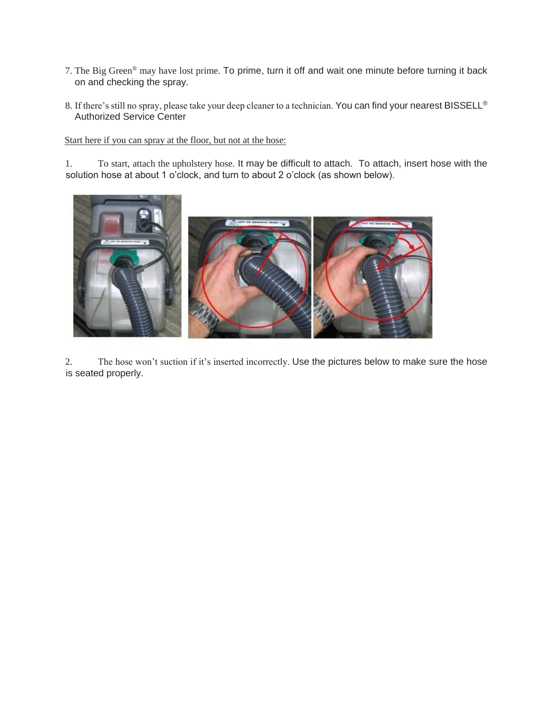- 7. The Big Green® may have lost prime. To prime, turn it off and wait one minute before turning it back on and checking the spray.
- 8. If there's still no spray, please take your deep cleaner to a technician. You can find your nearest BISSELL® Authorized Service Center

Start here if you can spray at the floor, but not at the hose:

1. To start, attach the upholstery hose. It may be difficult to attach. To attach, insert hose with the solution hose at about 1 o'clock, and turn to about 2 o'clock (as shown below).



2. The hose won't suction if it's inserted incorrectly. Use the pictures below to make sure the hose is seated properly.